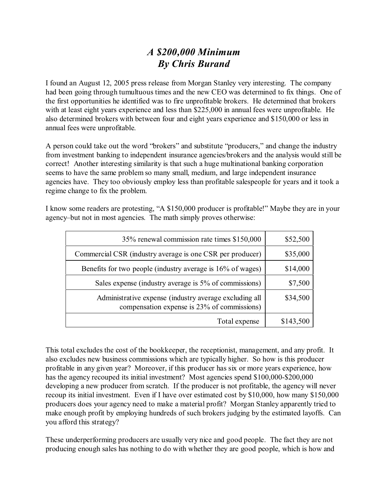## *A \$200,000 Minimum By Chris Burand*

I found an August 12, 2005 press release from Morgan Stanley very interesting. The company had been going through tumultuous times and the new CEO was determined to fix things. One of the first opportunities he identified was to fire unprofitable brokers. He determined that brokers with at least eight years experience and less than \$225,000 in annual fees were unprofitable. He also determined brokers with between four and eight years experience and \$150,000 or less in annual fees were unprofitable.

A person could take out the word "brokers" and substitute "producers," and change the industry from investment banking to independent insurance agencies/brokers and the analysis would still be correct! Another interesting similarity is that such a huge multinational banking corporation seems to have the same problem so many small, medium, and large independent insurance agencies have. They too obviously employ less than profitable salespeople for years and it took a regime change to fix the problem.

I know some readers are protesting, "A \$150,000 producer is profitable!" Maybe they are in your agency–but not in most agencies. The math simply proves otherwise:

| 35% renewal commission rate times \$150,000                                                           | \$52,500  |
|-------------------------------------------------------------------------------------------------------|-----------|
| Commercial CSR (industry average is one CSR per producer)                                             | \$35,000  |
| Benefits for two people (industry average is 16% of wages)                                            | \$14,000  |
| Sales expense (industry average is 5% of commissions)                                                 | \$7,500   |
| Administrative expense (industry average excluding all<br>compensation expense is 23% of commissions) | \$34,500  |
| Total expense                                                                                         | \$143,500 |

This total excludes the cost of the bookkeeper, the receptionist, management, and any profit. It also excludes new business commissions which are typically higher. So how is this producer profitable in any given year? Moreover, if this producer has six or more years experience, how has the agency recouped its initial investment? Most agencies spend \$100,000-\$200,000 developing a new producer from scratch. If the producer is not profitable, the agency will never recoup its initial investment. Even if I have over estimated cost by \$10,000, how many \$150,000 producers does your agency need to make a material profit? Morgan Stanley apparently tried to make enough profit by employing hundreds of such brokers judging by the estimated layoffs. Can you afford this strategy?

These underperforming producers are usually very nice and good people. The fact they are not producing enough sales has nothing to do with whether they are good people, which is how and